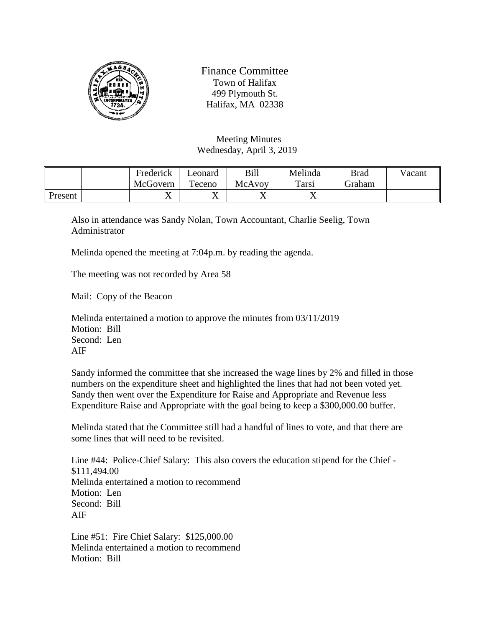

Finance Committee Town of Halifax 499 Plymouth St. Halifax, MA 02338

Meeting Minutes Wednesday, April 3, 2019

|                | Frederick | Leonard   | Bill   | Melinda        | <b>Brad</b> | Vacant |
|----------------|-----------|-----------|--------|----------------|-------------|--------|
|                | McGovern  | Teceno    | McAvoy | Tarsi          | Graham      |        |
| <b>Present</b> | ◢▴        | $\Lambda$ | ◢▴     | $\overline{ }$ |             |        |

Also in attendance was Sandy Nolan, Town Accountant, Charlie Seelig, Town Administrator

Melinda opened the meeting at 7:04p.m. by reading the agenda.

The meeting was not recorded by Area 58

Mail: Copy of the Beacon

Melinda entertained a motion to approve the minutes from 03/11/2019 Motion: Bill Second: Len AIF

Sandy informed the committee that she increased the wage lines by 2% and filled in those numbers on the expenditure sheet and highlighted the lines that had not been voted yet. Sandy then went over the Expenditure for Raise and Appropriate and Revenue less Expenditure Raise and Appropriate with the goal being to keep a \$300,000.00 buffer.

Melinda stated that the Committee still had a handful of lines to vote, and that there are some lines that will need to be revisited.

Line #44: Police-Chief Salary: This also covers the education stipend for the Chief - \$111,494.00 Melinda entertained a motion to recommend Motion: Len Second: Bill AIF

Line #51: Fire Chief Salary: \$125,000.00 Melinda entertained a motion to recommend Motion: Bill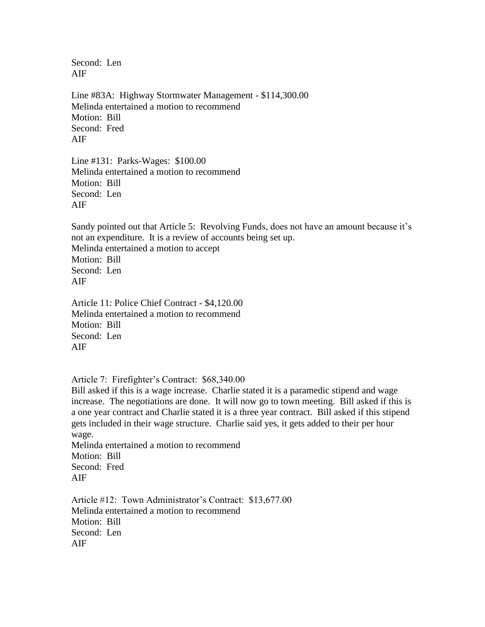Second: Len AIF

Line #83A: Highway Stormwater Management - \$114,300.00 Melinda entertained a motion to recommend Motion: Bill Second: Fred AIF

Line #131: Parks-Wages: \$100.00 Melinda entertained a motion to recommend Motion: Bill Second: Len AIF

Sandy pointed out that Article 5: Revolving Funds, does not have an amount because it's not an expenditure. It is a review of accounts being set up. Melinda entertained a motion to accept Motion: Bill Second: Len AIF

Article 11: Police Chief Contract - \$4,120.00 Melinda entertained a motion to recommend Motion: Bill Second: Len AIF

Article 7: Firefighter's Contract: \$68,340.00

Bill asked if this is a wage increase. Charlie stated it is a paramedic stipend and wage increase. The negotiations are done. It will now go to town meeting. Bill asked if this is a one year contract and Charlie stated it is a three year contract. Bill asked if this stipend gets included in their wage structure. Charlie said yes, it gets added to their per hour wage.

Melinda entertained a motion to recommend Motion: Bill Second: Fred AIF

Article #12: Town Administrator's Contract: \$13,677.00 Melinda entertained a motion to recommend Motion: Bill Second: Len AIF